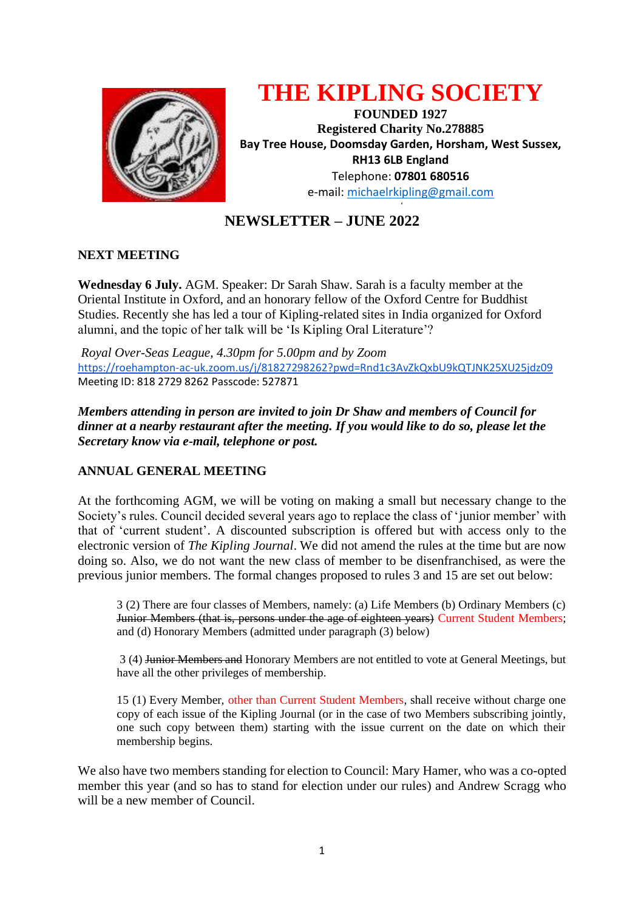

# **THE KIPLING SOCIETY**

**FOUNDED 1927 Registered Charity No.278885 Bay Tree House, Doomsday Garden, Horsham, West Sussex, RH13 6LB England** Telephone: **07801 680516** e-mail: [michaelrkipling@gmail.com](mailto:michaelrkipling@gmail.com)

#### *'* **NEWSLETTER – JUNE 2022**

## **NEXT MEETING**

**Wednesday 6 July.** AGM. Speaker: Dr Sarah Shaw. Sarah is a faculty member at the Oriental Institute in Oxford, and an honorary fellow of the Oxford Centre for Buddhist Studies. Recently she has led a tour of Kipling-related sites in India organized for Oxford alumni, and the topic of her talk will be 'Is Kipling Oral Literature'?

*Royal Over-Seas League, 4.30pm for 5.00pm and by Zoom* <https://roehampton-ac-uk.zoom.us/j/81827298262?pwd=Rnd1c3AvZkQxbU9kQTJNK25XU25jdz09> Meeting ID: 818 2729 8262 Passcode: 527871

*Members attending in person are invited to join Dr Shaw and members of Council for dinner at a nearby restaurant after the meeting. If you would like to do so, please let the Secretary know via e-mail, telephone or post.*

# **ANNUAL GENERAL MEETING**

At the forthcoming AGM, we will be voting on making a small but necessary change to the Society's rules. Council decided several years ago to replace the class of 'junior member' with that of 'current student'. A discounted subscription is offered but with access only to the electronic version of *The Kipling Journal*. We did not amend the rules at the time but are now doing so. Also, we do not want the new class of member to be disenfranchised, as were the previous junior members. The formal changes proposed to rules 3 and 15 are set out below:

3 (2) There are four classes of Members, namely: (a) Life Members (b) Ordinary Members (c) Junior Members (that is, persons under the age of eighteen years) Current Student Members; and (d) Honorary Members (admitted under paragraph (3) below)

3 (4) Junior Members and Honorary Members are not entitled to vote at General Meetings, but have all the other privileges of membership.

15 (1) Every Member, other than Current Student Members, shall receive without charge one copy of each issue of the Kipling Journal (or in the case of two Members subscribing jointly, one such copy between them) starting with the issue current on the date on which their membership begins.

We also have two members standing for election to Council: Mary Hamer, who was a co-opted member this year (and so has to stand for election under our rules) and Andrew Scragg who will be a new member of Council.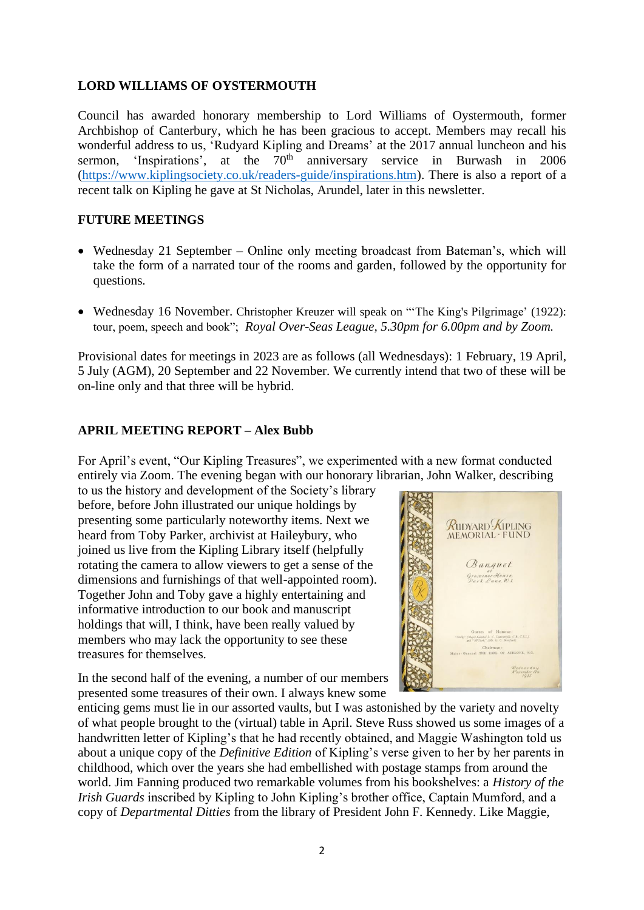## **LORD WILLIAMS OF OYSTERMOUTH**

Council has awarded honorary membership to Lord Williams of Oystermouth, former Archbishop of Canterbury, which he has been gracious to accept. Members may recall his wonderful address to us, 'Rudyard Kipling and Dreams' at the 2017 annual luncheon and his sermon, 'Inspirations', at the 70<sup>th</sup> anniversary service in Burwash in 2006 [\(https://www.kiplingsociety.co.uk/readers-guide/inspirations.htm\)](https://www.kiplingsociety.co.uk/readers-guide/inspirations.htm). There is also a report of a recent talk on Kipling he gave at St Nicholas, Arundel, later in this newsletter.

## **FUTURE MEETINGS**

- Wednesday 21 September Online only meeting broadcast from Bateman's, which will take the form of a narrated tour of the rooms and garden, followed by the opportunity for questions.
- Wednesday 16 November. Christopher Kreuzer will speak on "The King's Pilgrimage' (1922): tour, poem, speech and book"; *Royal Over-Seas League, 5.30pm for 6.00pm and by Zoom.*

Provisional dates for meetings in 2023 are as follows (all Wednesdays): 1 February, 19 April, 5 July (AGM), 20 September and 22 November. We currently intend that two of these will be on-line only and that three will be hybrid.

#### **APRIL MEETING REPORT – Alex Bubb**

For April's event, "Our Kipling Treasures", we experimented with a new format conducted entirely via Zoom. The evening began with our honorary librarian, John Walker, describing

to us the history and development of the Society's library before, before John illustrated our unique holdings by presenting some particularly noteworthy items. Next we heard from Toby Parker, archivist at Haileybury, who joined us live from the Kipling Library itself (helpfully rotating the camera to allow viewers to get a sense of the dimensions and furnishings of that well-appointed room). Together John and Toby gave a highly entertaining and informative introduction to our book and manuscript holdings that will, I think, have been really valued by members who may lack the opportunity to see these treasures for themselves.



In the second half of the evening, a number of our members presented some treasures of their own. I always knew some

enticing gems must lie in our assorted vaults, but I was astonished by the variety and novelty of what people brought to the (virtual) table in April. Steve Russ showed us some images of a handwritten letter of Kipling's that he had recently obtained, and Maggie Washington told us about a unique copy of the *Definitive Edition* of Kipling's verse given to her by her parents in childhood, which over the years she had embellished with postage stamps from around the world. Jim Fanning produced two remarkable volumes from his bookshelves: a *History of the Irish Guards* inscribed by Kipling to John Kipling's brother office, Captain Mumford, and a copy of *Departmental Ditties* from the library of President John F. Kennedy. Like Maggie,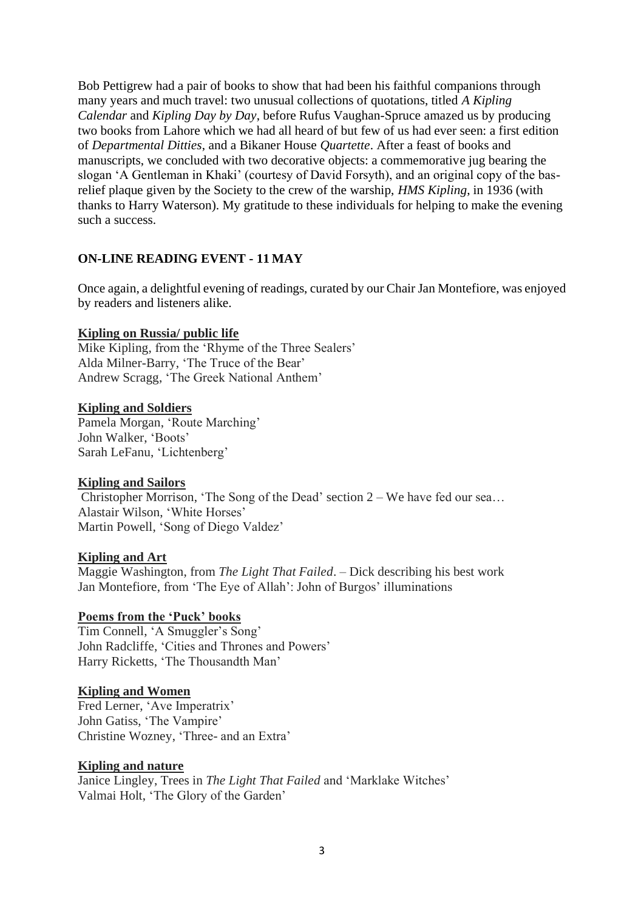Bob Pettigrew had a pair of books to show that had been his faithful companions through many years and much travel: two unusual collections of quotations, titled *A Kipling Calendar* and *Kipling Day by Day*, before Rufus Vaughan-Spruce amazed us by producing two books from Lahore which we had all heard of but few of us had ever seen: a first edition of *Departmental Ditties*, and a Bikaner House *Quartette*. After a feast of books and manuscripts, we concluded with two decorative objects: a commemorative jug bearing the slogan 'A Gentleman in Khaki' (courtesy of David Forsyth), and an original copy of the basrelief plaque given by the Society to the crew of the warship, *HMS Kipling*, in 1936 (with thanks to Harry Waterson). My gratitude to these individuals for helping to make the evening such a success.

#### **ON-LINE READING EVENT - 11 MAY**

Once again, a delightful evening of readings, curated by our Chair Jan Montefiore, was enjoyed by readers and listeners alike.

#### **Kipling on Russia/ public life**

Mike Kipling, from the 'Rhyme of the Three Sealers' Alda Milner-Barry, 'The Truce of the Bear' Andrew Scragg, 'The Greek National Anthem'

#### **Kipling and Soldiers**

Pamela Morgan, 'Route Marching' John Walker, 'Boots' Sarah LeFanu, 'Lichtenberg'

#### **Kipling and Sailors**

Christopher Morrison, 'The Song of the Dead' section 2 – We have fed our sea… Alastair Wilson, 'White Horses' Martin Powell, 'Song of Diego Valdez'

#### **Kipling and Art**

Maggie Washington, from *The Light That Failed*. – Dick describing his best work Jan Montefiore, from 'The Eye of Allah': John of Burgos' illuminations

#### **Poems from the 'Puck' books**

Tim Connell, 'A Smuggler's Song' John Radcliffe, 'Cities and Thrones and Powers' Harry Ricketts, 'The Thousandth Man'

#### **Kipling and Women**

Fred Lerner, 'Ave Imperatrix' John Gatiss, 'The Vampire' Christine Wozney, 'Three- and an Extra'

#### **Kipling and nature**

Janice Lingley, Trees in *The Light That Failed* and 'Marklake Witches' Valmai Holt, 'The Glory of the Garden'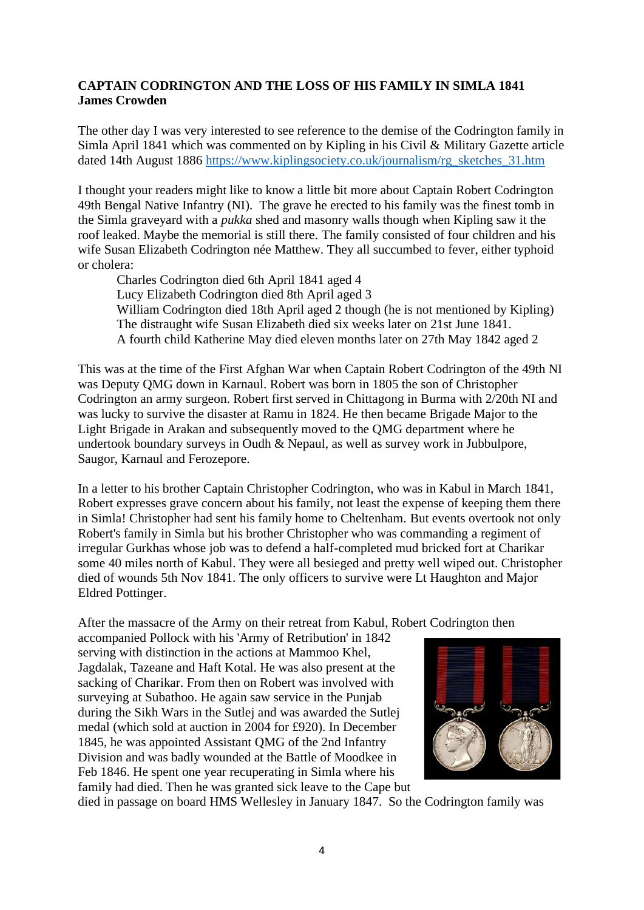#### **CAPTAIN CODRINGTON AND THE LOSS OF HIS FAMILY IN SIMLA 1841 James Crowden**

The other day I was very interested to see reference to the demise of the Codrington family in Simla April 1841 which was commented on by Kipling in his Civil & Military Gazette article dated 14th August 1886 [https://www.kiplingsociety.co.uk/journalism/rg\\_sketches\\_31.htm](https://www.kiplingsociety.co.uk/journalism/rg_sketches_31.htm)

I thought your readers might like to know a little bit more about Captain Robert Codrington 49th Bengal Native Infantry (NI). The grave he erected to his family was the finest tomb in the Simla graveyard with a *pukka* shed and masonry walls though when Kipling saw it the roof leaked. Maybe the memorial is still there. The family consisted of four children and his wife Susan Elizabeth Codrington née Matthew. They all succumbed to fever, either typhoid or cholera:

Charles Codrington died 6th April 1841 aged 4 Lucy Elizabeth Codrington died 8th April aged 3 William Codrington died 18th April aged 2 though (he is not mentioned by Kipling) The distraught wife Susan Elizabeth died six weeks later on 21st June 1841. A fourth child Katherine May died eleven months later on 27th May 1842 aged 2

This was at the time of the First Afghan War when Captain Robert Codrington of the 49th NI was Deputy QMG down in Karnaul. Robert was born in 1805 the son of Christopher Codrington an army surgeon. Robert first served in Chittagong in Burma with 2/20th NI and was lucky to survive the disaster at Ramu in 1824. He then became Brigade Major to the Light Brigade in Arakan and subsequently moved to the QMG department where he undertook boundary surveys in Oudh & Nepaul, as well as survey work in Jubbulpore, Saugor, Karnaul and Ferozepore.

In a letter to his brother Captain Christopher Codrington, who was in Kabul in March 1841, Robert expresses grave concern about his family, not least the expense of keeping them there in Simla! Christopher had sent his family home to Cheltenham. But events overtook not only Robert's family in Simla but his brother Christopher who was commanding a regiment of irregular Gurkhas whose job was to defend a half-completed mud bricked fort at Charikar some 40 miles north of Kabul. They were all besieged and pretty well wiped out. Christopher died of wounds 5th Nov 1841. The only officers to survive were Lt Haughton and Major Eldred Pottinger.

After the massacre of the Army on their retreat from Kabul, Robert Codrington then

accompanied Pollock with his 'Army of Retribution' in 1842 serving with distinction in the actions at Mammoo Khel, Jagdalak, Tazeane and Haft Kotal. He was also present at the sacking of Charikar. From then on Robert was involved with surveying at Subathoo. He again saw service in the Punjab during the Sikh Wars in the Sutlej and was awarded the Sutlej medal (which sold at auction in 2004 for £920). In December 1845, he was appointed Assistant QMG of the 2nd Infantry Division and was badly wounded at the Battle of Moodkee in Feb 1846. He spent one year recuperating in Simla where his family had died. Then he was granted sick leave to the Cape but



died in passage on board HMS Wellesley in January 1847. So the Codrington family was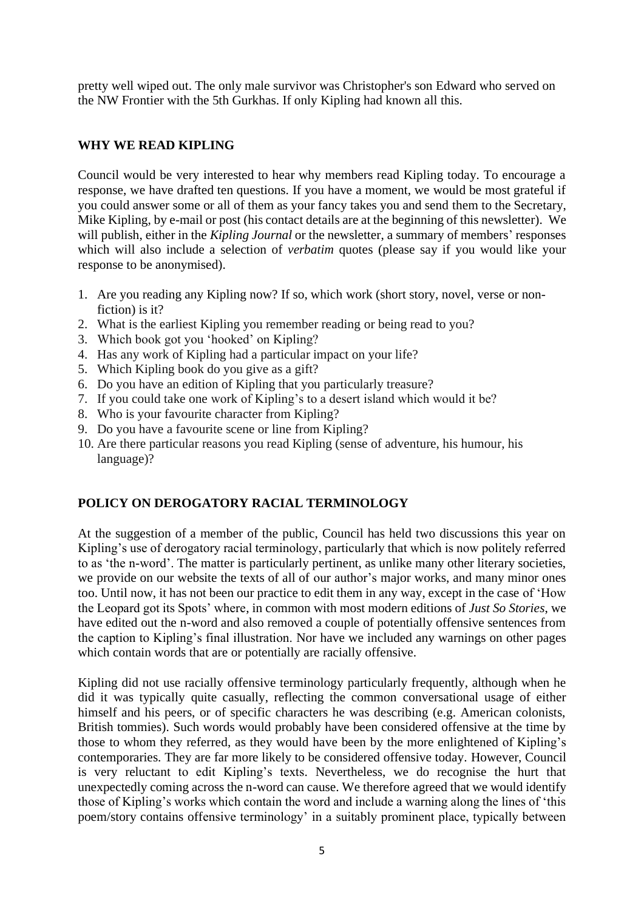pretty well wiped out. The only male survivor was Christopher's son Edward who served on the NW Frontier with the 5th Gurkhas. If only Kipling had known all this.

## **WHY WE READ KIPLING**

Council would be very interested to hear why members read Kipling today. To encourage a response, we have drafted ten questions. If you have a moment, we would be most grateful if you could answer some or all of them as your fancy takes you and send them to the Secretary, Mike Kipling, by e-mail or post (his contact details are at the beginning of this newsletter). We will publish, either in the *Kipling Journal* or the newsletter, a summary of members' responses which will also include a selection of *verbatim* quotes (please say if you would like your response to be anonymised).

- 1. Are you reading any Kipling now? If so, which work (short story, novel, verse or nonfiction) is it?
- 2. What is the earliest Kipling you remember reading or being read to you?
- 3. Which book got you 'hooked' on Kipling?
- 4. Has any work of Kipling had a particular impact on your life?
- 5. Which Kipling book do you give as a gift?
- 6. Do you have an edition of Kipling that you particularly treasure?
- 7. If you could take one work of Kipling's to a desert island which would it be?
- 8. Who is your favourite character from Kipling?
- 9. Do you have a favourite scene or line from Kipling?
- 10. Are there particular reasons you read Kipling (sense of adventure, his humour, his language)?

#### **POLICY ON DEROGATORY RACIAL TERMINOLOGY**

At the suggestion of a member of the public, Council has held two discussions this year on Kipling's use of derogatory racial terminology, particularly that which is now politely referred to as 'the n-word'. The matter is particularly pertinent, as unlike many other literary societies, we provide on our website the texts of all of our author's major works, and many minor ones too. Until now, it has not been our practice to edit them in any way, except in the case of 'How the Leopard got its Spots' where, in common with most modern editions of *Just So Stories*, we have edited out the n-word and also removed a couple of potentially offensive sentences from the caption to Kipling's final illustration. Nor have we included any warnings on other pages which contain words that are or potentially are racially offensive.

Kipling did not use racially offensive terminology particularly frequently, although when he did it was typically quite casually, reflecting the common conversational usage of either himself and his peers, or of specific characters he was describing (e.g. American colonists, British tommies). Such words would probably have been considered offensive at the time by those to whom they referred, as they would have been by the more enlightened of Kipling's contemporaries. They are far more likely to be considered offensive today. However, Council is very reluctant to edit Kipling's texts. Nevertheless, we do recognise the hurt that unexpectedly coming across the n-word can cause. We therefore agreed that we would identify those of Kipling's works which contain the word and include a warning along the lines of 'this poem/story contains offensive terminology' in a suitably prominent place, typically between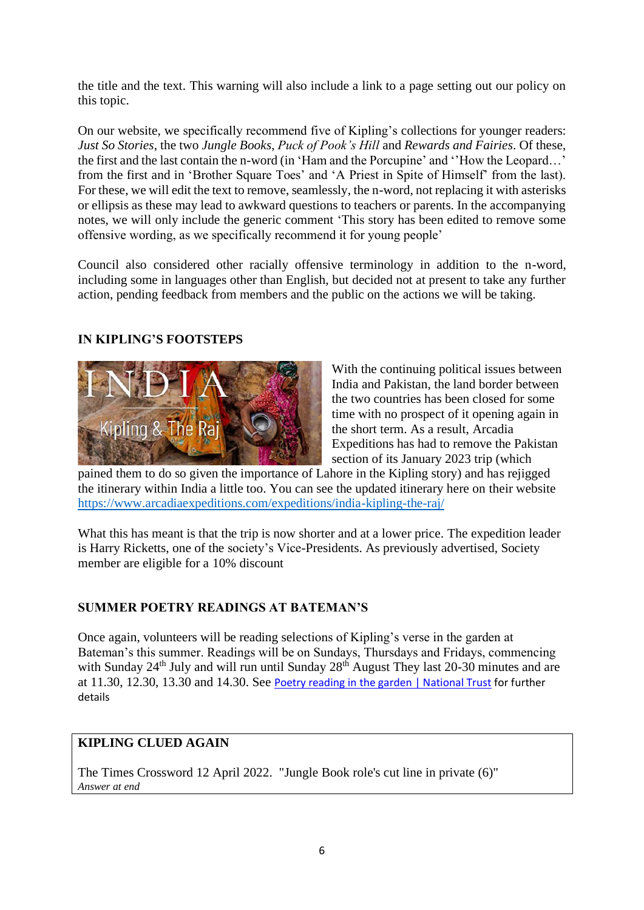the title and the text. This warning will also include a link to a page setting out our policy on this topic.

On our website, we specifically recommend five of Kipling's collections for younger readers: *Just So Stories*, the two *Jungle Books*, *Puck of Pook's Hill* and *Rewards and Fairies*. Of these, the first and the last contain the n-word (in 'Ham and the Porcupine' and ''How the Leopard…' from the first and in 'Brother Square Toes' and 'A Priest in Spite of Himself' from the last). For these, we will edit the text to remove, seamlessly, the n-word, not replacing it with asterisks or ellipsis as these may lead to awkward questions to teachers or parents. In the accompanying notes, we will only include the generic comment 'This story has been edited to remove some offensive wording, as we specifically recommend it for young people'

Council also considered other racially offensive terminology in addition to the n-word, including some in languages other than English, but decided not at present to take any further action, pending feedback from members and the public on the actions we will be taking.

#### **IN KIPLING'S FOOTSTEPS**



With the continuing political issues between India and Pakistan, the land border between the two countries has been closed for some time with no prospect of it opening again in the short term. As a result, Arcadia Expeditions has had to remove the Pakistan section of its January 2023 trip (which

pained them to do so given the importance of Lahore in the Kipling story) and has rejigged the itinerary within India a little too. You can see the updated itinerary here on their website <https://www.arcadiaexpeditions.com/expeditions/india-kipling-the-raj/>

What this has meant is that the trip is now shorter and at a lower price. The expedition leader is Harry Ricketts, one of the society's Vice-Presidents. As previously advertised, Society member are eligible for a 10% discount

#### **SUMMER POETRY READINGS AT BATEMAN'S**

Once again, volunteers will be reading selections of Kipling's verse in the garden at Bateman's this summer. Readings will be on Sundays, Thursdays and Fridays, commencing with Sunday 24<sup>th</sup> July and will run until Sunday 28<sup>th</sup> August They last 20-30 minutes and are at 11.30, 12.30, 13.30 and 14.30. See [Poetry reading in the garden | National Trust](https://www.nationaltrust.org.uk/events/13bfdb22-c76c-4c89-a781-c7b52c223a7c/pages/details) for further details

# **KIPLING CLUED AGAIN**

The Times Crossword 12 April 2022. "Jungle Book role's cut line in private (6)" *Answer at end*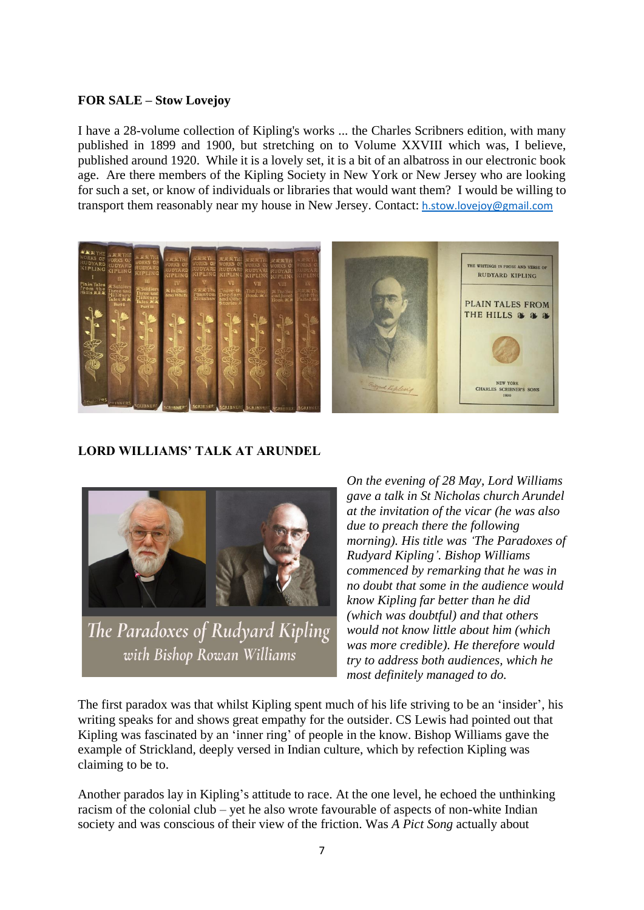#### **FOR SALE – Stow Lovejoy**

I have a 28-volume collection of Kipling's works ... the Charles Scribners edition, with many published in 1899 and 1900, but stretching on to Volume XXVIII which was, I believe, published around 1920. While it is a lovely set, it is a bit of an albatross in our electronic book age. Are there members of the Kipling Society in New York or New Jersey who are looking for such a set, or know of individuals or libraries that would want them? I would be willing to transport them reasonably near my house in New Jersey. Contact: [h.stow.lovejoy@gmail.com](mailto:h.stow.lovejoy@gmail.com)



## **LORD WILLIAMS' TALK AT ARUNDEL**



The Paradoxes of Rudyard Kipling with Bishop Rowan Williams

*On the evening of 28 May, Lord Williams gave a talk in St Nicholas church Arundel at the invitation of the vicar (he was also due to preach there the following morning). His title was 'The Paradoxes of Rudyard Kipling'. Bishop Williams commenced by remarking that he was in no doubt that some in the audience would know Kipling far better than he did (which was doubtful) and that others would not know little about him (which was more credible). He therefore would try to address both audiences, which he most definitely managed to do.* 

The first paradox was that whilst Kipling spent much of his life striving to be an 'insider', his writing speaks for and shows great empathy for the outsider. CS Lewis had pointed out that Kipling was fascinated by an 'inner ring' of people in the know. Bishop Williams gave the example of Strickland, deeply versed in Indian culture, which by refection Kipling was claiming to be to.

Another parados lay in Kipling's attitude to race. At the one level, he echoed the unthinking racism of the colonial club – yet he also wrote favourable of aspects of non-white Indian society and was conscious of their view of the friction. Was *A Pict Song* actually about